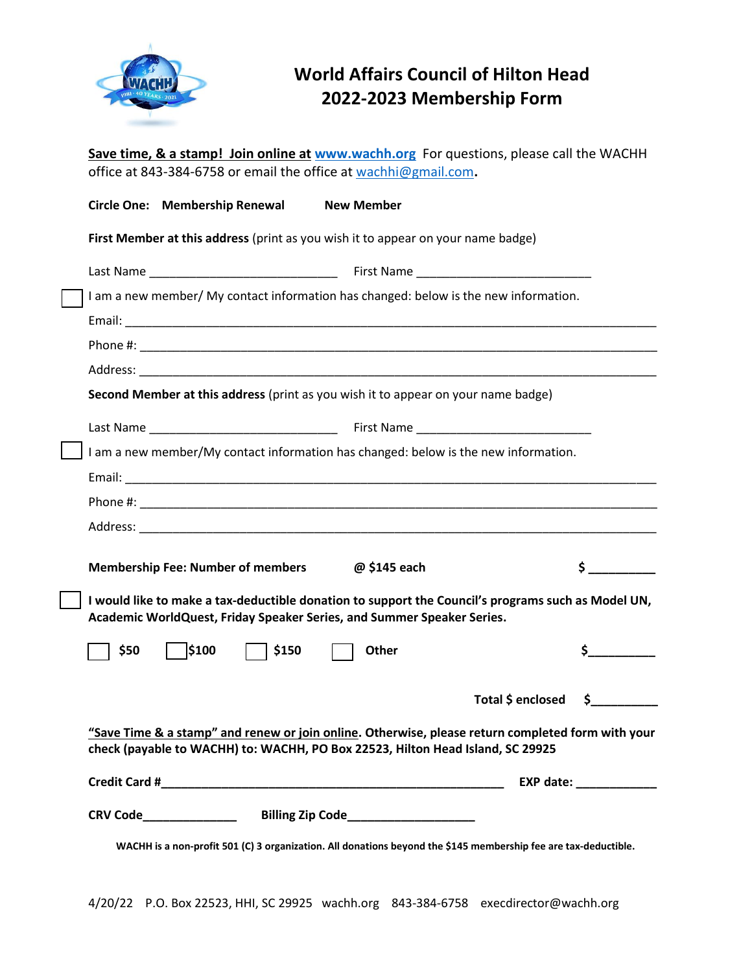

## **World Affairs Council of Hilton Head 2022-2023 Membership Form**

| Save time, & a stamp! Join online at www.wachh.org For questions, please call the WACHH<br>office at 843-384-6758 or email the office at wachhi@gmail.com.                          |  |
|-------------------------------------------------------------------------------------------------------------------------------------------------------------------------------------|--|
| Circle One: Membership Renewal<br><b>New Member</b>                                                                                                                                 |  |
| First Member at this address (print as you wish it to appear on your name badge)                                                                                                    |  |
|                                                                                                                                                                                     |  |
| I am a new member/ My contact information has changed: below is the new information.                                                                                                |  |
|                                                                                                                                                                                     |  |
|                                                                                                                                                                                     |  |
|                                                                                                                                                                                     |  |
| Second Member at this address (print as you wish it to appear on your name badge)                                                                                                   |  |
|                                                                                                                                                                                     |  |
| I am a new member/My contact information has changed: below is the new information.                                                                                                 |  |
|                                                                                                                                                                                     |  |
|                                                                                                                                                                                     |  |
|                                                                                                                                                                                     |  |
| <b>Membership Fee: Number of members</b><br>@ \$145 each<br>S.                                                                                                                      |  |
| I would like to make a tax-deductible donation to support the Council's programs such as Model UN,<br>Academic WorldQuest, Friday Speaker Series, and Summer Speaker Series.        |  |
| \$100<br>\$<br>Other<br>\$50<br>\$150                                                                                                                                               |  |
| Total \$ enclosed \$                                                                                                                                                                |  |
| "Save Time & a stamp" and renew or join online. Otherwise, please return completed form with your<br>check (payable to WACHH) to: WACHH, PO Box 22523, Hilton Head Island, SC 29925 |  |
|                                                                                                                                                                                     |  |
|                                                                                                                                                                                     |  |
| WACHH is a non-profit 501 (C) 3 organization. All donations beyond the \$145 membership fee are tax-deductible.                                                                     |  |

4/20/22 P.O. Box 22523, HHI, SC 29925 wachh.org 843-384-6758 execdirector@wachh.org